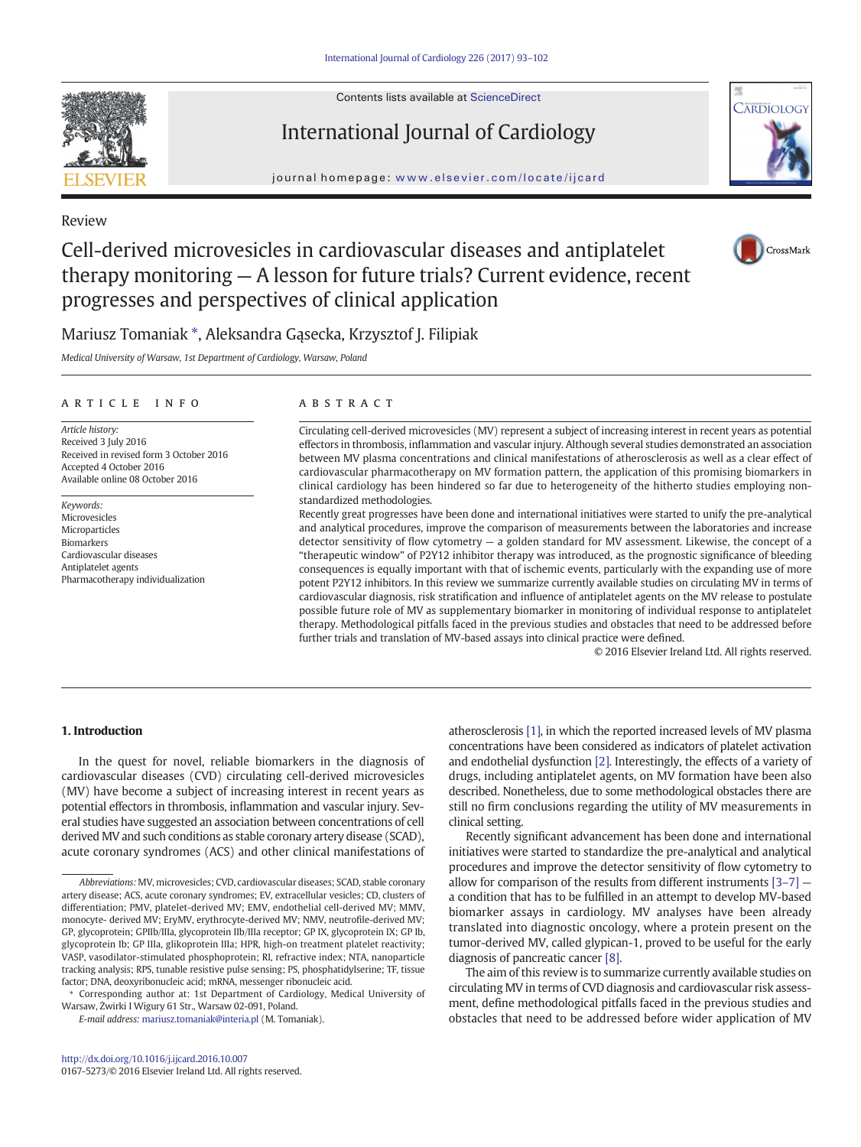Contents lists available at [ScienceDirect](http://www.sciencedirect.com/science/journal/01675273)





# journal homepage: <www.elsevier.com/locate/ijcard>

# Review

# Cell-derived microvesicles in cardiovascular diseases and antiplatelet therapy monitoring — A lesson for future trials? Current evidence, recent progresses and perspectives of clinical application



Mariusz Tomaniak ⁎, Aleksandra Gąsecka, Krzysztof J. Filipiak

Medical University of Warsaw, 1st Department of Cardiology, Warsaw, Poland

# article info abstract

Article history: Received 3 July 2016 Received in revised form 3 October 2016 Accepted 4 October 2016 Available online 08 October 2016

Keywords: Microvesicles Microparticles Biomarkers Cardiovascular diseases Antiplatelet agents Pharmacotherapy individualization

Circulating cell-derived microvesicles (MV) represent a subject of increasing interest in recent years as potential effectors in thrombosis, inflammation and vascular injury. Although several studies demonstrated an association between MV plasma concentrations and clinical manifestations of atherosclerosis as well as a clear effect of cardiovascular pharmacotherapy on MV formation pattern, the application of this promising biomarkers in clinical cardiology has been hindered so far due to heterogeneity of the hitherto studies employing nonstandardized methodologies.

Recently great progresses have been done and international initiatives were started to unify the pre-analytical and analytical procedures, improve the comparison of measurements between the laboratories and increase detector sensitivity of flow cytometry — a golden standard for MV assessment. Likewise, the concept of a "therapeutic window" of P2Y12 inhibitor therapy was introduced, as the prognostic significance of bleeding consequences is equally important with that of ischemic events, particularly with the expanding use of more potent P2Y12 inhibitors. In this review we summarize currently available studies on circulating MV in terms of cardiovascular diagnosis, risk stratification and influence of antiplatelet agents on the MV release to postulate possible future role of MV as supplementary biomarker in monitoring of individual response to antiplatelet therapy. Methodological pitfalls faced in the previous studies and obstacles that need to be addressed before further trials and translation of MV-based assays into clinical practice were defined.

© 2016 Elsevier Ireland Ltd. All rights reserved.

# 1. Introduction

In the quest for novel, reliable biomarkers in the diagnosis of cardiovascular diseases (CVD) circulating cell-derived microvesicles (MV) have become a subject of increasing interest in recent years as potential effectors in thrombosis, inflammation and vascular injury. Several studies have suggested an association between concentrations of cell derived MV and such conditions as stable coronary artery disease (SCAD), acute coronary syndromes (ACS) and other clinical manifestations of

⁎ Corresponding author at: 1st Department of Cardiology, Medical University of Warsaw, Żwirki I Wigury 61 Str., Warsaw 02-091, Poland.

E-mail address: [mariusz.tomaniak@interia.pl](mailto:mariusz.tomaniak@interia.pl) (M. Tomaniak).

atherosclerosis [\[1\],](#page-8-0) in which the reported increased levels of MV plasma concentrations have been considered as indicators of platelet activation and endothelial dysfunction [\[2\].](#page-8-0) Interestingly, the effects of a variety of drugs, including antiplatelet agents, on MV formation have been also described. Nonetheless, due to some methodological obstacles there are still no firm conclusions regarding the utility of MV measurements in clinical setting.

Recently significant advancement has been done and international initiatives were started to standardize the pre-analytical and analytical procedures and improve the detector sensitivity of flow cytometry to allow for comparison of the results from different instruments [\[3](#page-8-0)–7] a condition that has to be fulfilled in an attempt to develop MV-based biomarker assays in cardiology. MV analyses have been already translated into diagnostic oncology, where a protein present on the tumor-derived MV, called glypican-1, proved to be useful for the early diagnosis of pancreatic cancer [\[8\].](#page-8-0)

The aim of this review is to summarize currently available studies on circulating MV in terms of CVD diagnosis and cardiovascular risk assessment, define methodological pitfalls faced in the previous studies and obstacles that need to be addressed before wider application of MV

Abbreviations: MV, microvesicles; CVD, cardiovascular diseases; SCAD, stable coronary artery disease; ACS, acute coronary syndromes; EV, extracellular vesicles; CD, clusters of differentiation; PMV, platelet-derived MV; EMV, endothelial cell-derived MV; MMV, monocyte- derived MV; EryMV, erythrocyte-derived MV; NMV, neutrofile-derived MV; GP, glycoprotein; GPIIb/IIIa, glycoprotein IIb/IIIa receptor; GP IX, glycoprotein IX; GP Ib, glycoprotein Ib; GP IIIa, glikoprotein IIIa; HPR, high-on treatment platelet reactivity; VASP, vasodilator-stimulated phosphoprotein; RI, refractive index; NTA, nanoparticle tracking analysis; RPS, tunable resistive pulse sensing; PS, phosphatidylserine; TF, tissue factor; DNA, deoxyribonucleic acid; mRNA, messenger ribonucleic acid.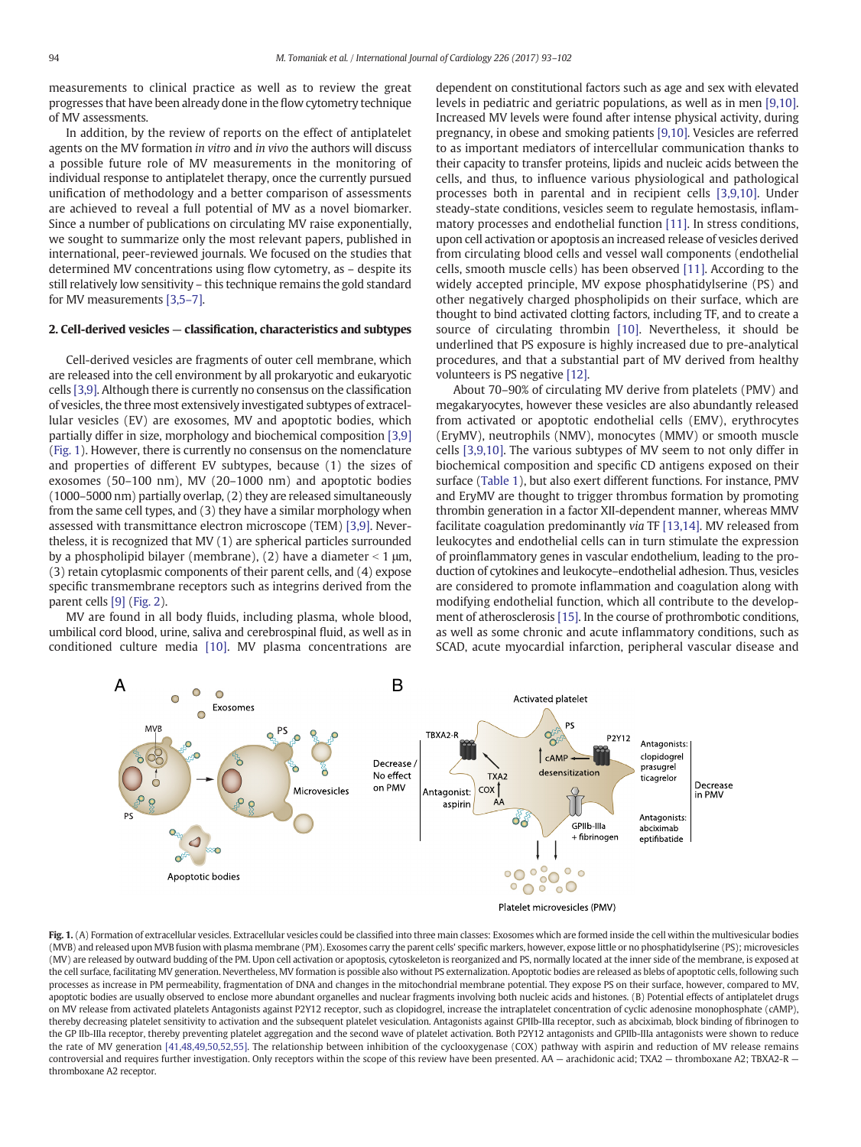<span id="page-1-0"></span>measurements to clinical practice as well as to review the great progresses that have been already done in the flow cytometry technique of MV assessments.

In addition, by the review of reports on the effect of antiplatelet agents on the MV formation in vitro and in vivo the authors will discuss a possible future role of MV measurements in the monitoring of individual response to antiplatelet therapy, once the currently pursued unification of methodology and a better comparison of assessments are achieved to reveal a full potential of MV as a novel biomarker. Since a number of publications on circulating MV raise exponentially, we sought to summarize only the most relevant papers, published in international, peer-reviewed journals. We focused on the studies that determined MV concentrations using flow cytometry, as – despite its still relatively low sensitivity – this technique remains the gold standard for MV measurements [\[3,5](#page-8-0)–7].

#### 2. Cell-derived vesicles — classification, characteristics and subtypes

Cell-derived vesicles are fragments of outer cell membrane, which are released into the cell environment by all prokaryotic and eukaryotic cells [\[3,9\].](#page-8-0) Although there is currently no consensus on the classification of vesicles, the three most extensively investigated subtypes of extracellular vesicles (EV) are exosomes, MV and apoptotic bodies, which partially differ in size, morphology and biochemical composition [\[3,9\]](#page-8-0) (Fig. 1). However, there is currently no consensus on the nomenclature and properties of different EV subtypes, because (1) the sizes of exosomes (50–100 nm), MV (20–1000 nm) and apoptotic bodies (1000–5000 nm) partially overlap, (2) they are released simultaneously from the same cell types, and (3) they have a similar morphology when assessed with transmittance electron microscope (TEM) [\[3,9\].](#page-8-0) Nevertheless, it is recognized that MV (1) are spherical particles surrounded by a phospholipid bilayer (membrane), (2) have a diameter  $<$  1  $\mu$ m, (3) retain cytoplasmic components of their parent cells, and (4) expose specific transmembrane receptors such as integrins derived from the parent cells [\[9\]](#page-8-0) [\(Fig. 2\)](#page-2-0).

MV are found in all body fluids, including plasma, whole blood, umbilical cord blood, urine, saliva and cerebrospinal fluid, as well as in conditioned culture media [\[10\]](#page-8-0). MV plasma concentrations are dependent on constitutional factors such as age and sex with elevated levels in pediatric and geriatric populations, as well as in men [\[9,10\].](#page-8-0) Increased MV levels were found after intense physical activity, during pregnancy, in obese and smoking patients [\[9,10\].](#page-8-0) Vesicles are referred to as important mediators of intercellular communication thanks to their capacity to transfer proteins, lipids and nucleic acids between the cells, and thus, to influence various physiological and pathological processes both in parental and in recipient cells [\[3,9,10\].](#page-8-0) Under steady-state conditions, vesicles seem to regulate hemostasis, inflammatory processes and endothelial function [\[11\].](#page-8-0) In stress conditions, upon cell activation or apoptosis an increased release of vesicles derived from circulating blood cells and vessel wall components (endothelial cells, smooth muscle cells) has been observed [\[11\].](#page-8-0) According to the widely accepted principle, MV expose phosphatidylserine (PS) and other negatively charged phospholipids on their surface, which are thought to bind activated clotting factors, including TF, and to create a source of circulating thrombin [\[10\]](#page-8-0). Nevertheless, it should be underlined that PS exposure is highly increased due to pre-analytical procedures, and that a substantial part of MV derived from healthy volunteers is PS negative [\[12\]](#page-8-0).

About 70–90% of circulating MV derive from platelets (PMV) and megakaryocytes, however these vesicles are also abundantly released from activated or apoptotic endothelial cells (EMV), erythrocytes (EryMV), neutrophils (NMV), monocytes (MMV) or smooth muscle cells [\[3,9,10\]](#page-8-0). The various subtypes of MV seem to not only differ in biochemical composition and specific CD antigens exposed on their surface [\(Table 1\)](#page-2-0), but also exert different functions. For instance, PMV and EryMV are thought to trigger thrombus formation by promoting thrombin generation in a factor XII-dependent manner, whereas MMV facilitate coagulation predominantly via TF [\[13,14\]](#page-8-0). MV released from leukocytes and endothelial cells can in turn stimulate the expression of proinflammatory genes in vascular endothelium, leading to the production of cytokines and leukocyte–endothelial adhesion. Thus, vesicles are considered to promote inflammation and coagulation along with modifying endothelial function, which all contribute to the development of atherosclerosis [\[15\]](#page-8-0). In the course of prothrombotic conditions, as well as some chronic and acute inflammatory conditions, such as SCAD, acute myocardial infarction, peripheral vascular disease and





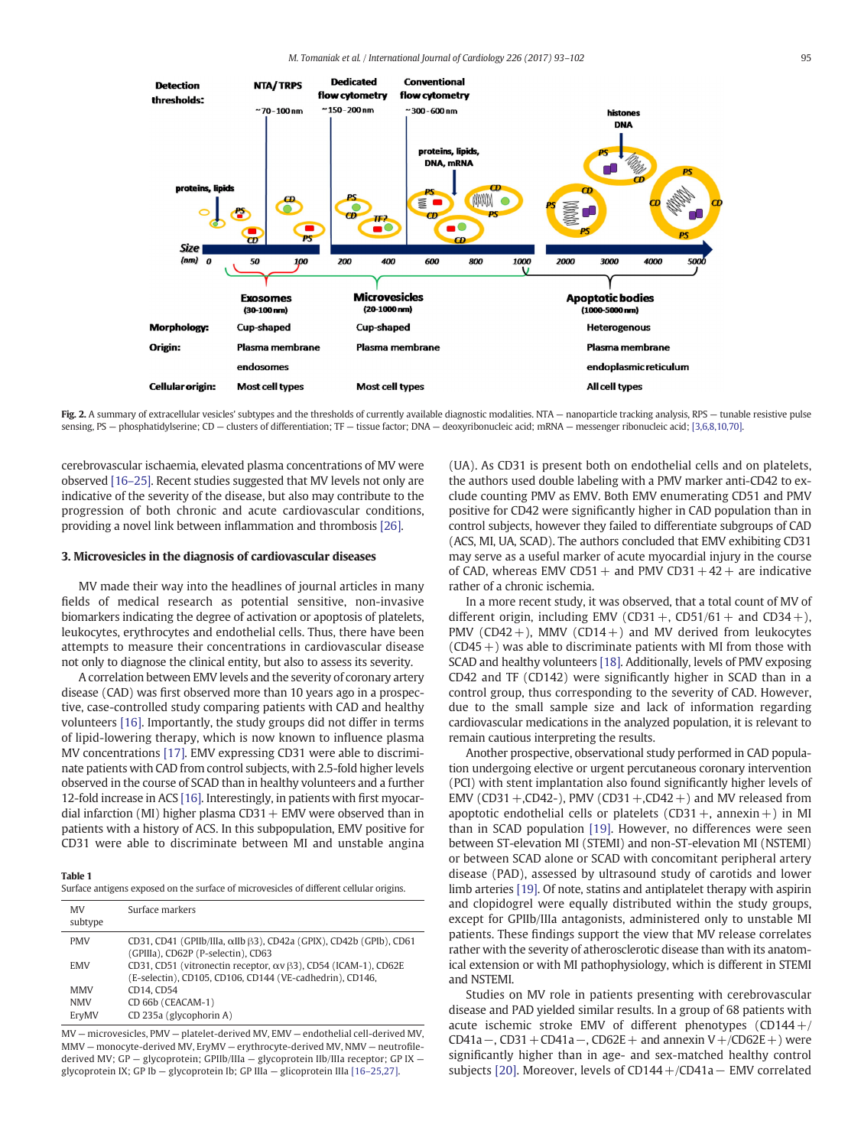<span id="page-2-0"></span>

Fig. 2. A summary of extracellular vesicles' subtypes and the thresholds of currently available diagnostic modalities. NTA - nanoparticle tracking analysis, RPS - tunable resistive pulse sensing, PS - phosphatidylserine; CD - clusters of differentiation; TF - tissue factor; DNA - deoxyribonucleic acid; mRNA - messenger ribonucleic acid; [\[3,6,8,10,70\]](#page-8-0).

cerebrovascular ischaemia, elevated plasma concentrations of MV were observed [\[16](#page-8-0)–25]. Recent studies suggested that MV levels not only are indicative of the severity of the disease, but also may contribute to the progression of both chronic and acute cardiovascular conditions, providing a novel link between inflammation and thrombosis [\[26\]](#page-8-0).

#### 3. Microvesicles in the diagnosis of cardiovascular diseases

MV made their way into the headlines of journal articles in many fields of medical research as potential sensitive, non-invasive biomarkers indicating the degree of activation or apoptosis of platelets, leukocytes, erythrocytes and endothelial cells. Thus, there have been attempts to measure their concentrations in cardiovascular disease not only to diagnose the clinical entity, but also to assess its severity.

A correlation between EMV levels and the severity of coronary artery disease (CAD) was first observed more than 10 years ago in a prospective, case-controlled study comparing patients with CAD and healthy volunteers [\[16\].](#page-8-0) Importantly, the study groups did not differ in terms of lipid-lowering therapy, which is now known to influence plasma MV concentrations [\[17\].](#page-8-0) EMV expressing CD31 were able to discriminate patients with CAD from control subjects, with 2.5-fold higher levels observed in the course of SCAD than in healthy volunteers and a further 12-fold increase in ACS [\[16\]](#page-8-0). Interestingly, in patients with first myocardial infarction (MI) higher plasma  $CD31 + EMV$  were observed than in patients with a history of ACS. In this subpopulation, EMV positive for CD31 were able to discriminate between MI and unstable angina

## Table 1

|  | Surface antigens exposed on the surface of microvesicles of different cellular origins. |  |  |  |  |  |
|--|-----------------------------------------------------------------------------------------|--|--|--|--|--|
|  |                                                                                         |  |  |  |  |  |

| MV<br>subtype | Surface markers                                                                                                            |
|---------------|----------------------------------------------------------------------------------------------------------------------------|
| <b>PMV</b>    | CD31, CD41 (GPIIb/IIIa, $\alpha$ IIb $\beta$ 3), CD42a (GPIX), CD42b (GPIb), CD61<br>(GPIIIa), CD62P (P-selectin), CD63    |
| <b>EMV</b>    | CD31, CD51 (vitronectin receptor, αν β3), CD54 (ICAM-1), CD62E<br>(E-selectin), CD105, CD106, CD144 (VE-cadhedrin), CD146, |
| <b>MMV</b>    | CD14, CD54                                                                                                                 |
| <b>NMV</b>    | CD 66b (CEACAM-1)                                                                                                          |
| EryMV         | CD 235a (glycophorin A)                                                                                                    |

MV — microvesicles, PMV — platelet-derived MV, EMV — endothelial cell-derived MV, MMV — monocyte-derived MV, EryMV — erythrocyte-derived MV, NMV — neutrofilederived MV; GP — glycoprotein; GPIIb/IIIa — glycoprotein IIb/IIIa receptor; GP IX glycoprotein IX; GP Ib — glycoprotein Ib; GP IIIa — glicoprotein IIIa [16–[25,27\].](#page-8-0)

(UA). As CD31 is present both on endothelial cells and on platelets, the authors used double labeling with a PMV marker anti-CD42 to exclude counting PMV as EMV. Both EMV enumerating CD51 and PMV positive for CD42 were significantly higher in CAD population than in control subjects, however they failed to differentiate subgroups of CAD (ACS, MI, UA, SCAD). The authors concluded that EMV exhibiting CD31 may serve as a useful marker of acute myocardial injury in the course of CAD, whereas EMV CD51 + and PMV CD31 +  $42 +$  are indicative rather of a chronic ischemia.

In a more recent study, it was observed, that a total count of MV of different origin, including EMV (CD31 +, CD51/61 + and CD34 +), PMV (CD42+), MMV (CD14+) and MV derived from leukocytes  $(CD45+)$  was able to discriminate patients with MI from those with SCAD and healthy volunteers [\[18\]](#page-8-0). Additionally, levels of PMV exposing CD42 and TF (CD142) were significantly higher in SCAD than in a control group, thus corresponding to the severity of CAD. However, due to the small sample size and lack of information regarding cardiovascular medications in the analyzed population, it is relevant to remain cautious interpreting the results.

Another prospective, observational study performed in CAD population undergoing elective or urgent percutaneous coronary intervention (PCI) with stent implantation also found significantly higher levels of EMV (CD31 +,CD42-), PMV (CD31 +,CD42 +) and MV released from apoptotic endothelial cells or platelets (CD31 +, annexin +) in MI than in SCAD population [\[19\].](#page-8-0) However, no differences were seen between ST-elevation MI (STEMI) and non-ST-elevation MI (NSTEMI) or between SCAD alone or SCAD with concomitant peripheral artery disease (PAD), assessed by ultrasound study of carotids and lower limb arteries [\[19\].](#page-8-0) Of note, statins and antiplatelet therapy with aspirin and clopidogrel were equally distributed within the study groups, except for GPIIb/IIIa antagonists, administered only to unstable MI patients. These findings support the view that MV release correlates rather with the severity of atherosclerotic disease than with its anatomical extension or with MI pathophysiology, which is different in STEMI and NSTEMI.

Studies on MV role in patients presenting with cerebrovascular disease and PAD yielded similar results. In a group of 68 patients with acute ischemic stroke EMV of different phenotypes  $(CD144+/$ CD41a –, CD31 + CD41a –, CD62E + and annexin V +/CD62E + ) were significantly higher than in age- and sex-matched healthy control subjects [\[20\].](#page-8-0) Moreover, levels of CD144+/CD41a− EMV correlated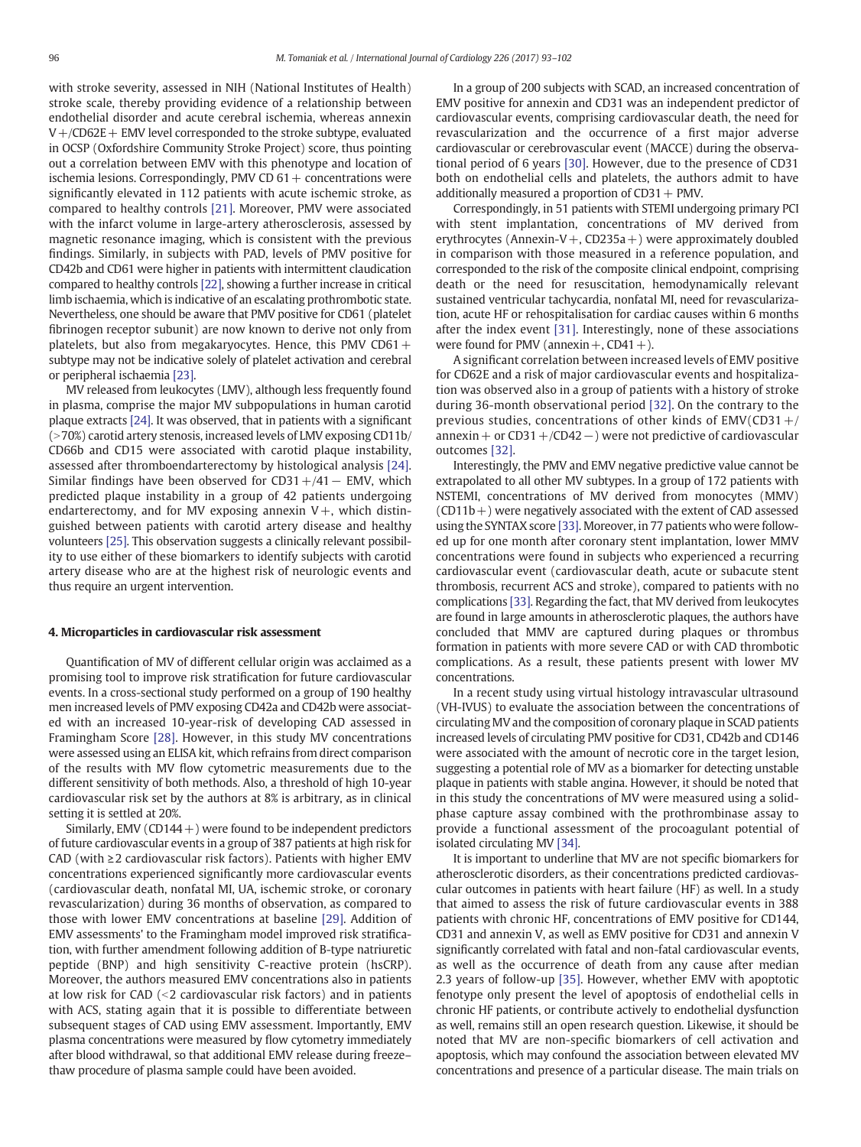with stroke severity, assessed in NIH (National Institutes of Health) stroke scale, thereby providing evidence of a relationship between endothelial disorder and acute cerebral ischemia, whereas annexin  $V + /CD62E + EMV$  level corresponded to the stroke subtype, evaluated in OCSP (Oxfordshire Community Stroke Project) score, thus pointing out a correlation between EMV with this phenotype and location of ischemia lesions. Correspondingly, PMV CD  $61 +$  concentrations were significantly elevated in 112 patients with acute ischemic stroke, as compared to healthy controls [\[21\]](#page-8-0). Moreover, PMV were associated with the infarct volume in large-artery atherosclerosis, assessed by magnetic resonance imaging, which is consistent with the previous findings. Similarly, in subjects with PAD, levels of PMV positive for CD42b and CD61 were higher in patients with intermittent claudication compared to healthy controls [\[22\]](#page-8-0), showing a further increase in critical limb ischaemia, which is indicative of an escalating prothrombotic state. Nevertheless, one should be aware that PMV positive for CD61 (platelet fibrinogen receptor subunit) are now known to derive not only from platelets, but also from megakaryocytes. Hence, this PMV CD61 $+$ subtype may not be indicative solely of platelet activation and cerebral or peripheral ischaemia [\[23\].](#page-8-0)

MV released from leukocytes (LMV), although less frequently found in plasma, comprise the major MV subpopulations in human carotid plaque extracts [\[24\]](#page-8-0). It was observed, that in patients with a significant  $(>70%)$  carotid artery stenosis, increased levels of LMV exposing CD11b/ CD66b and CD15 were associated with carotid plaque instability, assessed after thromboendarterectomy by histological analysis [\[24\].](#page-8-0) Similar findings have been observed for CD31+/41− EMV, which predicted plaque instability in a group of 42 patients undergoing endarterectomy, and for MV exposing annexin  $V+$ , which distinguished between patients with carotid artery disease and healthy volunteers [\[25\].](#page-8-0) This observation suggests a clinically relevant possibility to use either of these biomarkers to identify subjects with carotid artery disease who are at the highest risk of neurologic events and thus require an urgent intervention.

#### 4. Microparticles in cardiovascular risk assessment

Quantification of MV of different cellular origin was acclaimed as a promising tool to improve risk stratification for future cardiovascular events. In a cross-sectional study performed on a group of 190 healthy men increased levels of PMV exposing CD42a and CD42b were associated with an increased 10-year-risk of developing CAD assessed in Framingham Score [\[28\]](#page-8-0). However, in this study MV concentrations were assessed using an ELISA kit, which refrains from direct comparison of the results with MV flow cytometric measurements due to the different sensitivity of both methods. Also, a threshold of high 10-year cardiovascular risk set by the authors at 8% is arbitrary, as in clinical setting it is settled at 20%.

Similarly, EMV (CD144  $+$ ) were found to be independent predictors of future cardiovascular events in a group of 387 patients at high risk for CAD (with ≥2 cardiovascular risk factors). Patients with higher EMV concentrations experienced significantly more cardiovascular events (cardiovascular death, nonfatal MI, UA, ischemic stroke, or coronary revascularization) during 36 months of observation, as compared to those with lower EMV concentrations at baseline [\[29\].](#page-8-0) Addition of EMV assessments' to the Framingham model improved risk stratification, with further amendment following addition of B-type natriuretic peptide (BNP) and high sensitivity C-reactive protein (hsCRP). Moreover, the authors measured EMV concentrations also in patients at low risk for CAD  $\leq$  cardiovascular risk factors) and in patients with ACS, stating again that it is possible to differentiate between subsequent stages of CAD using EMV assessment. Importantly, EMV plasma concentrations were measured by flow cytometry immediately after blood withdrawal, so that additional EMV release during freeze– thaw procedure of plasma sample could have been avoided.

In a group of 200 subjects with SCAD, an increased concentration of EMV positive for annexin and CD31 was an independent predictor of cardiovascular events, comprising cardiovascular death, the need for revascularization and the occurrence of a first major adverse cardiovascular or cerebrovascular event (MACCE) during the observational period of 6 years [\[30\]](#page-9-0). However, due to the presence of CD31 both on endothelial cells and platelets, the authors admit to have additionally measured a proportion of  $CD31 + PMV$ .

Correspondingly, in 51 patients with STEMI undergoing primary PCI with stent implantation, concentrations of MV derived from erythrocytes (Annexin-V  $+$ , CD235a  $+$ ) were approximately doubled in comparison with those measured in a reference population, and corresponded to the risk of the composite clinical endpoint, comprising death or the need for resuscitation, hemodynamically relevant sustained ventricular tachycardia, nonfatal MI, need for revascularization, acute HF or rehospitalisation for cardiac causes within 6 months after the index event [\[31\]](#page-9-0). Interestingly, none of these associations were found for PMV (annexin  $+$ , CD41  $+$ ).

A significant correlation between increased levels of EMV positive for CD62E and a risk of major cardiovascular events and hospitalization was observed also in a group of patients with a history of stroke during 36-month observational period [\[32\].](#page-9-0) On the contrary to the previous studies, concentrations of other kinds of  $EW(CD31+/$ annexin+ or CD31+/CD42−) were not predictive of cardiovascular outcomes [\[32\].](#page-9-0)

Interestingly, the PMV and EMV negative predictive value cannot be extrapolated to all other MV subtypes. In a group of 172 patients with NSTEMI, concentrations of MV derived from monocytes (MMV)  $(CD11b+)$  were negatively associated with the extent of CAD assessed using the SYNTAX score [\[33\]](#page-9-0). Moreover, in 77 patients who were followed up for one month after coronary stent implantation, lower MMV concentrations were found in subjects who experienced a recurring cardiovascular event (cardiovascular death, acute or subacute stent thrombosis, recurrent ACS and stroke), compared to patients with no complications [\[33\]](#page-9-0). Regarding the fact, that MV derived from leukocytes are found in large amounts in atherosclerotic plaques, the authors have concluded that MMV are captured during plaques or thrombus formation in patients with more severe CAD or with CAD thrombotic complications. As a result, these patients present with lower MV concentrations.

In a recent study using virtual histology intravascular ultrasound (VH-IVUS) to evaluate the association between the concentrations of circulating MV and the composition of coronary plaque in SCAD patients increased levels of circulating PMV positive for CD31, CD42b and CD146 were associated with the amount of necrotic core in the target lesion, suggesting a potential role of MV as a biomarker for detecting unstable plaque in patients with stable angina. However, it should be noted that in this study the concentrations of MV were measured using a solidphase capture assay combined with the prothrombinase assay to provide a functional assessment of the procoagulant potential of isolated circulating MV [\[34\].](#page-9-0)

It is important to underline that MV are not specific biomarkers for atherosclerotic disorders, as their concentrations predicted cardiovascular outcomes in patients with heart failure (HF) as well. In a study that aimed to assess the risk of future cardiovascular events in 388 patients with chronic HF, concentrations of EMV positive for CD144, CD31 and annexin V, as well as EMV positive for CD31 and annexin V significantly correlated with fatal and non-fatal cardiovascular events, as well as the occurrence of death from any cause after median 2.3 years of follow-up [\[35\].](#page-9-0) However, whether EMV with apoptotic fenotype only present the level of apoptosis of endothelial cells in chronic HF patients, or contribute actively to endothelial dysfunction as well, remains still an open research question. Likewise, it should be noted that MV are non-specific biomarkers of cell activation and apoptosis, which may confound the association between elevated MV concentrations and presence of a particular disease. The main trials on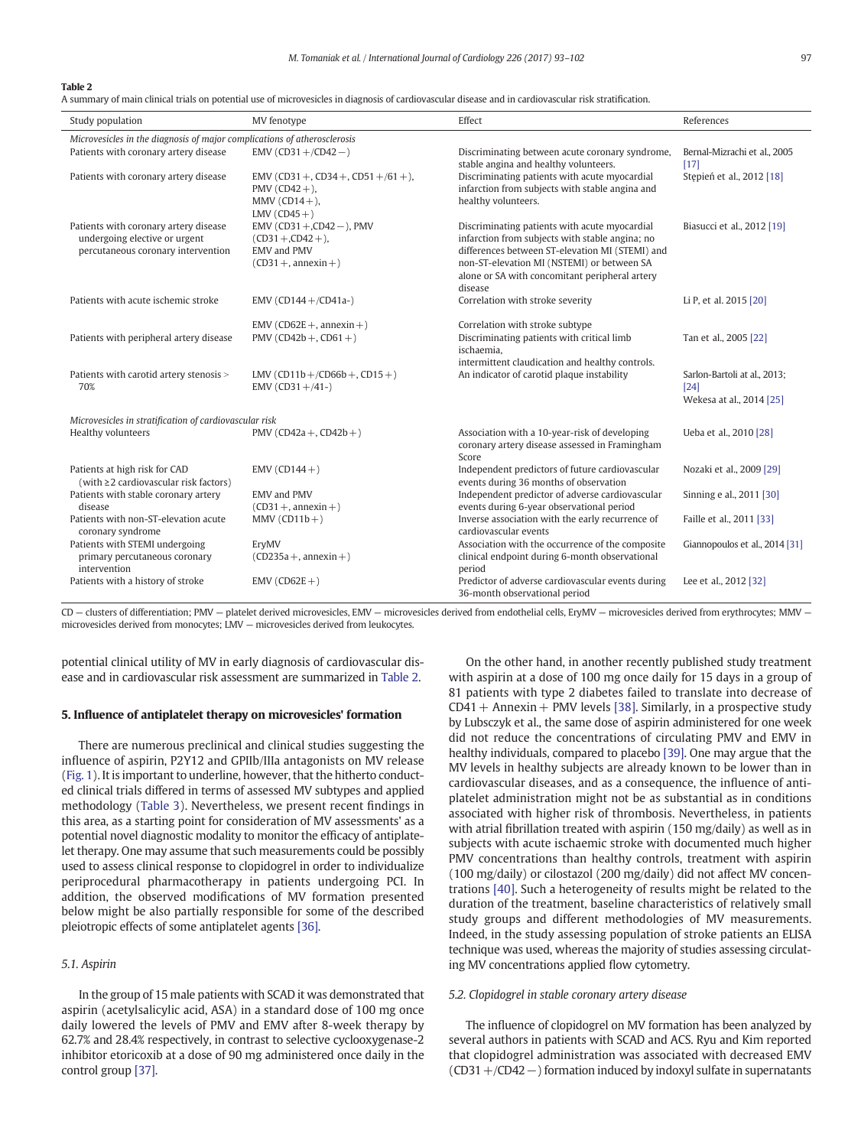#### Table 2

A summary of main clinical trials on potential use of microvesicles in diagnosis of cardiovascular disease and in cardiovascular risk stratification.

| Study population                                                                                             | MV fenotype                                                                                     | Effect                                                                                                                                                                                                                                                         | References                                                         |  |  |  |
|--------------------------------------------------------------------------------------------------------------|-------------------------------------------------------------------------------------------------|----------------------------------------------------------------------------------------------------------------------------------------------------------------------------------------------------------------------------------------------------------------|--------------------------------------------------------------------|--|--|--|
| Microvesicles in the diagnosis of major complications of atherosclerosis                                     |                                                                                                 |                                                                                                                                                                                                                                                                |                                                                    |  |  |  |
| Patients with coronary artery disease                                                                        | $EMV (CD31 + /CD42 - )$                                                                         | Discriminating between acute coronary syndrome,<br>stable angina and healthy volunteers.                                                                                                                                                                       | Bernal-Mizrachi et al., 2005<br>$[17]$                             |  |  |  |
| Patients with coronary artery disease                                                                        | EMV (CD31 +, CD34 +, CD51 +/61 +),<br>PMV $(CD42 +)$ ,<br>MMV $(CD14+)$ ,<br>LMV $(CD45+)$      | Discriminating patients with acute myocardial<br>infarction from subjects with stable angina and<br>healthy volunteers.                                                                                                                                        | Stepień et al., 2012 [18]                                          |  |  |  |
| Patients with coronary artery disease<br>undergoing elective or urgent<br>percutaneous coronary intervention | EMV (CD31 +,CD42 -), PMV<br>$(CD31 + CD42 +)$ ,<br><b>EMV</b> and PMV<br>$(CD31 +$ , annexin +) | Discriminating patients with acute myocardial<br>infarction from subjects with stable angina; no<br>differences between ST-elevation MI (STEMI) and<br>non-ST-elevation MI (NSTEMI) or between SA<br>alone or SA with concomitant peripheral artery<br>disease | Biasucci et al., 2012 [19]                                         |  |  |  |
| Patients with acute ischemic stroke                                                                          | EMV (CD144+/CD41a-)                                                                             | Correlation with stroke severity                                                                                                                                                                                                                               | Li P, et al. 2015 [20]                                             |  |  |  |
| Patients with peripheral artery disease                                                                      | EMV (CD62E +, annexin +)<br>PMV (CD42b +, CD61 +)                                               | Correlation with stroke subtype<br>Discriminating patients with critical limb<br>ischaemia,<br>intermittent claudication and healthy controls.                                                                                                                 | Tan et al., 2005 [22]                                              |  |  |  |
| Patients with carotid artery stenosis ><br>70%                                                               | $LMV (CD11b+/CD66b+, CD15+)$<br>EMV (CD31+/41-)                                                 | An indicator of carotid plaque instability                                                                                                                                                                                                                     | Sarlon-Bartoli at al., 2013;<br>$[24]$<br>Wekesa at al., 2014 [25] |  |  |  |
| Microvesicles in stratification of cardiovascular risk                                                       |                                                                                                 |                                                                                                                                                                                                                                                                |                                                                    |  |  |  |
| Healthy volunteers                                                                                           | PMV (CD42a +, CD42b +)                                                                          | Association with a 10-year-risk of developing<br>coronary artery disease assessed in Framingham<br>Score                                                                                                                                                       | Ueba et al., 2010 [28]                                             |  |  |  |
| Patients at high risk for CAD<br>(with $\geq$ 2 cardiovascular risk factors)                                 | EMV $(CD144+)$                                                                                  | Independent predictors of future cardiovascular<br>events during 36 months of observation                                                                                                                                                                      | Nozaki et al., 2009 [29]                                           |  |  |  |
| Patients with stable coronary artery<br>disease                                                              | <b>EMV</b> and PMV<br>$(CD31 +$ , annexin +)                                                    | Independent predictor of adverse cardiovascular<br>events during 6-year observational period                                                                                                                                                                   | Sinning e al., 2011 [30]                                           |  |  |  |
| Patients with non-ST-elevation acute<br>coronary syndrome                                                    | $MMV (CD11b+)$                                                                                  | Inverse association with the early recurrence of<br>cardiovascular events                                                                                                                                                                                      | Faille et al., 2011 [33]                                           |  |  |  |
| Patients with STEMI undergoing<br>primary percutaneous coronary<br>intervention                              | ErvMV<br>$(CD235a +$ , annexin +)                                                               | Association with the occurrence of the composite<br>clinical endpoint during 6-month observational<br>period                                                                                                                                                   | Giannopoulos et al., 2014 [31]                                     |  |  |  |
| Patients with a history of stroke                                                                            | $EMV (CD62E + )$                                                                                | Predictor of adverse cardiovascular events during<br>36-month observational period                                                                                                                                                                             | Lee et al., 2012 [32]                                              |  |  |  |

CD — clusters of differentiation; PMV — platelet derived microvesicles, EMV — microvesicles derived from endothelial cells, EryMV — microvesicles derived from erythrocytes; MMV microvesicles derived from monocytes; LMV — microvesicles derived from leukocytes.

potential clinical utility of MV in early diagnosis of cardiovascular disease and in cardiovascular risk assessment are summarized in Table 2.

# 5. Influence of antiplatelet therapy on microvesicles' formation

There are numerous preclinical and clinical studies suggesting the influence of aspirin, P2Y12 and GPIIb/IIIa antagonists on MV release [\(Fig. 1](#page-1-0)). It is important to underline, however, that the hitherto conducted clinical trials differed in terms of assessed MV subtypes and applied methodology ([Table 3](#page-5-0)). Nevertheless, we present recent findings in this area, as a starting point for consideration of MV assessments' as a potential novel diagnostic modality to monitor the efficacy of antiplatelet therapy. One may assume that such measurements could be possibly used to assess clinical response to clopidogrel in order to individualize periprocedural pharmacotherapy in patients undergoing PCI. In addition, the observed modifications of MV formation presented below might be also partially responsible for some of the described pleiotropic effects of some antiplatelet agents [\[36\]](#page-9-0).

# 5.1. Aspirin

In the group of 15 male patients with SCAD it was demonstrated that aspirin (acetylsalicylic acid, ASA) in a standard dose of 100 mg once daily lowered the levels of PMV and EMV after 8-week therapy by 62.7% and 28.4% respectively, in contrast to selective cyclooxygenase-2 inhibitor etoricoxib at a dose of 90 mg administered once daily in the control group [\[37\]](#page-9-0).

On the other hand, in another recently published study treatment with aspirin at a dose of 100 mg once daily for 15 days in a group of 81 patients with type 2 diabetes failed to translate into decrease of  $CD41 +$  Annexin + PMV levels [\[38\].](#page-9-0) Similarly, in a prospective study by Lubsczyk et al., the same dose of aspirin administered for one week did not reduce the concentrations of circulating PMV and EMV in healthy individuals, compared to placebo [\[39\]](#page-9-0). One may argue that the MV levels in healthy subjects are already known to be lower than in cardiovascular diseases, and as a consequence, the influence of antiplatelet administration might not be as substantial as in conditions associated with higher risk of thrombosis. Nevertheless, in patients with atrial fibrillation treated with aspirin (150 mg/daily) as well as in subjects with acute ischaemic stroke with documented much higher PMV concentrations than healthy controls, treatment with aspirin (100 mg/daily) or cilostazol (200 mg/daily) did not affect MV concentrations [\[40\]](#page-9-0). Such a heterogeneity of results might be related to the duration of the treatment, baseline characteristics of relatively small study groups and different methodologies of MV measurements. Indeed, in the study assessing population of stroke patients an ELISA technique was used, whereas the majority of studies assessing circulating MV concentrations applied flow cytometry.

# 5.2. Clopidogrel in stable coronary artery disease

The influence of clopidogrel on MV formation has been analyzed by several authors in patients with SCAD and ACS. Ryu and Kim reported that clopidogrel administration was associated with decreased EMV (CD31+/CD42−) formation induced by indoxyl sulfate in supernatants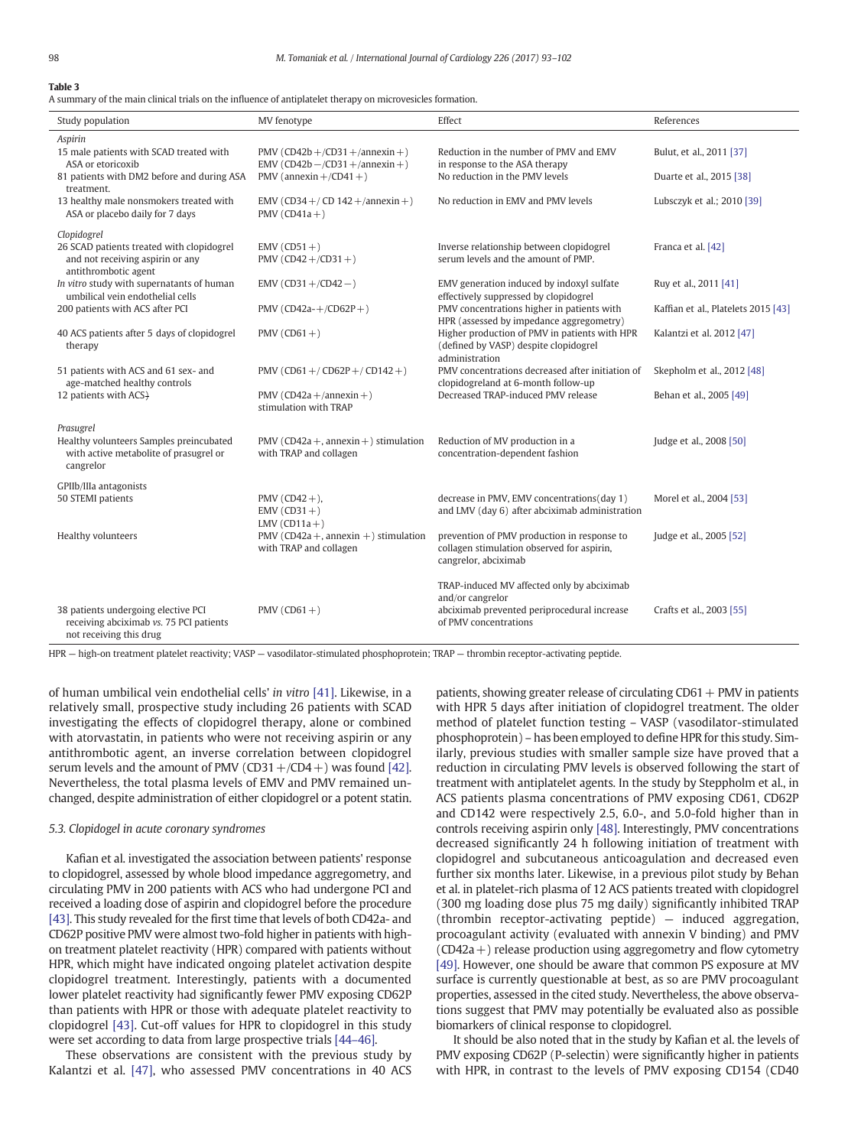#### <span id="page-5-0"></span>Table 3

A summary of the main clinical trials on the influence of antiplatelet therapy on microvesicles formation.

| Study population                                                                                      | MV fenotype                                                               | Effect                                                                                                                                 | References                          |
|-------------------------------------------------------------------------------------------------------|---------------------------------------------------------------------------|----------------------------------------------------------------------------------------------------------------------------------------|-------------------------------------|
| Aspirin                                                                                               |                                                                           |                                                                                                                                        |                                     |
| 15 male patients with SCAD treated with<br>ASA or etoricoxib                                          | PMV (CD42b +/CD31 +/annexin +)<br>EMV (CD42b $-$ /CD31 $+$ /annexin $+$ ) | Reduction in the number of PMV and EMV<br>in response to the ASA therapy                                                               | Bulut, et al., 2011 [37]            |
| 81 patients with DM2 before and during ASA<br>treatment.                                              | PMV (annexin $+/CD41 +$ )                                                 | No reduction in the PMV levels                                                                                                         | Duarte et al., 2015 [38]            |
| 13 healthy male nonsmokers treated with<br>ASA or placebo daily for 7 days                            | EMV (CD34 +/ CD 142 +/annexin +)<br>PMV ( $CD41a +$ )                     | No reduction in EMV and PMV levels                                                                                                     | Lubsczyk et al.; 2010 [39]          |
| Clopidogrel                                                                                           |                                                                           |                                                                                                                                        |                                     |
| 26 SCAD patients treated with clopidogrel<br>and not receiving aspirin or any<br>antithrombotic agent | $EMV (CD51+)$<br>PMV (CD42 +/CD31 +)                                      | Inverse relationship between clopidogrel<br>serum levels and the amount of PMP.                                                        | Franca et al. [42]                  |
| In vitro study with supernatants of human<br>umbilical vein endothelial cells                         | $EMV (CD31 + /CD42 - )$                                                   | EMV generation induced by indoxyl sulfate<br>effectively suppressed by clopidogrel                                                     | Ruy et al., 2011 [41]               |
| 200 patients with ACS after PCI                                                                       | PMV (CD42a-+/CD62P+)                                                      | PMV concentrations higher in patients with<br>HPR (assessed by impedance aggregometry)                                                 | Kaffian et al., Platelets 2015 [43] |
| 40 ACS patients after 5 days of clopidogrel<br>therapy                                                | PMV ( $CD61 +$ )                                                          | Higher production of PMV in patients with HPR<br>(defined by VASP) despite clopidogrel<br>administration                               | Kalantzi et al. 2012 [47]           |
| 51 patients with ACS and 61 sex- and<br>age-matched healthy controls                                  | PMV (CD61 +/CD62P +/CD142 +)                                              | PMV concentrations decreased after initiation of<br>clopidogreland at 6-month follow-up                                                | Skepholm et al., 2012 [48]          |
| 12 patients with ACS+                                                                                 | PMV (CD42a +/annexin +)<br>stimulation with TRAP                          | Decreased TRAP-induced PMV release                                                                                                     | Behan et al., 2005 [49]             |
| Prasugrel                                                                                             |                                                                           |                                                                                                                                        |                                     |
| Healthy volunteers Samples preincubated<br>with active metabolite of prasugrel or<br>cangrelor        | PMV (CD42a +, annexin +) stimulation<br>with TRAP and collagen            | Reduction of MV production in a<br>concentration-dependent fashion                                                                     | Judge et al., 2008 [50]             |
| GPIIb/IIIa antagonists                                                                                |                                                                           |                                                                                                                                        |                                     |
| 50 STEMI patients                                                                                     | PMV $(CD42 + )$ ,<br>$EMV (CD31+)$<br>LMV $(CD11a + )$                    | decrease in PMV, EMV concentrations(day 1)<br>and LMV (day 6) after abciximab administration                                           | Morel et al., 2004 [53]             |
| Healthy volunteers                                                                                    | PMV (CD42a +, annexin +) stimulation<br>with TRAP and collagen            | prevention of PMV production in response to<br>collagen stimulation observed for aspirin,<br>cangrelor, abciximab                      | Judge et al., 2005 [52]             |
| 38 patients undergoing elective PCI<br>receiving abciximab vs. 75 PCI patients                        | PMV ( $CD61 +$ )                                                          | TRAP-induced MV affected only by abciximab<br>and/or cangrelor<br>abciximab prevented periprocedural increase<br>of PMV concentrations | Crafts et al., 2003 [55]            |
| not receiving this drug                                                                               |                                                                           |                                                                                                                                        |                                     |

HPR — high-on treatment platelet reactivity; VASP — vasodilator-stimulated phosphoprotein; TRAP — thrombin receptor-activating peptide.

of human umbilical vein endothelial cells' in vitro [\[41\]](#page-9-0). Likewise, in a relatively small, prospective study including 26 patients with SCAD investigating the effects of clopidogrel therapy, alone or combined with atorvastatin, in patients who were not receiving aspirin or any antithrombotic agent, an inverse correlation between clopidogrel serum levels and the amount of PMV (CD31 +/CD4 +) was found [\[42\].](#page-9-0) Nevertheless, the total plasma levels of EMV and PMV remained unchanged, despite administration of either clopidogrel or a potent statin.

#### 5.3. Clopidogel in acute coronary syndromes

Kafian et al. investigated the association between patients' response to clopidogrel, assessed by whole blood impedance aggregometry, and circulating PMV in 200 patients with ACS who had undergone PCI and received a loading dose of aspirin and clopidogrel before the procedure [\[43\]](#page-9-0). This study revealed for the first time that levels of both CD42a- and CD62P positive PMV were almost two-fold higher in patients with highon treatment platelet reactivity (HPR) compared with patients without HPR, which might have indicated ongoing platelet activation despite clopidogrel treatment. Interestingly, patients with a documented lower platelet reactivity had significantly fewer PMV exposing CD62P than patients with HPR or those with adequate platelet reactivity to clopidogrel [\[43\].](#page-9-0) Cut-off values for HPR to clopidogrel in this study were set according to data from large prospective trials [\[44](#page-9-0)–46].

These observations are consistent with the previous study by Kalantzi et al. [\[47\],](#page-9-0) who assessed PMV concentrations in 40 ACS patients, showing greater release of circulating  $CD61 + PMV$  in patients with HPR 5 days after initiation of clopidogrel treatment. The older method of platelet function testing – VASP (vasodilator-stimulated phosphoprotein) – has been employed to define HPR for this study. Similarly, previous studies with smaller sample size have proved that a reduction in circulating PMV levels is observed following the start of treatment with antiplatelet agents. In the study by Steppholm et al., in ACS patients plasma concentrations of PMV exposing CD61, CD62P and CD142 were respectively 2.5, 6.0-, and 5.0-fold higher than in controls receiving aspirin only [\[48\]](#page-9-0). Interestingly, PMV concentrations decreased significantly 24 h following initiation of treatment with clopidogrel and subcutaneous anticoagulation and decreased even further six months later. Likewise, in a previous pilot study by Behan et al. in platelet-rich plasma of 12 ACS patients treated with clopidogrel (300 mg loading dose plus 75 mg daily) significantly inhibited TRAP (thrombin receptor-activating peptide) — induced aggregation, procoagulant activity (evaluated with annexin V binding) and PMV  $(CD42a+)$  release production using aggregometry and flow cytometry [\[49\]](#page-9-0). However, one should be aware that common PS exposure at MV surface is currently questionable at best, as so are PMV procoagulant properties, assessed in the cited study. Nevertheless, the above observations suggest that PMV may potentially be evaluated also as possible biomarkers of clinical response to clopidogrel.

It should be also noted that in the study by Kafian et al. the levels of PMV exposing CD62P (P-selectin) were significantly higher in patients with HPR, in contrast to the levels of PMV exposing CD154 (CD40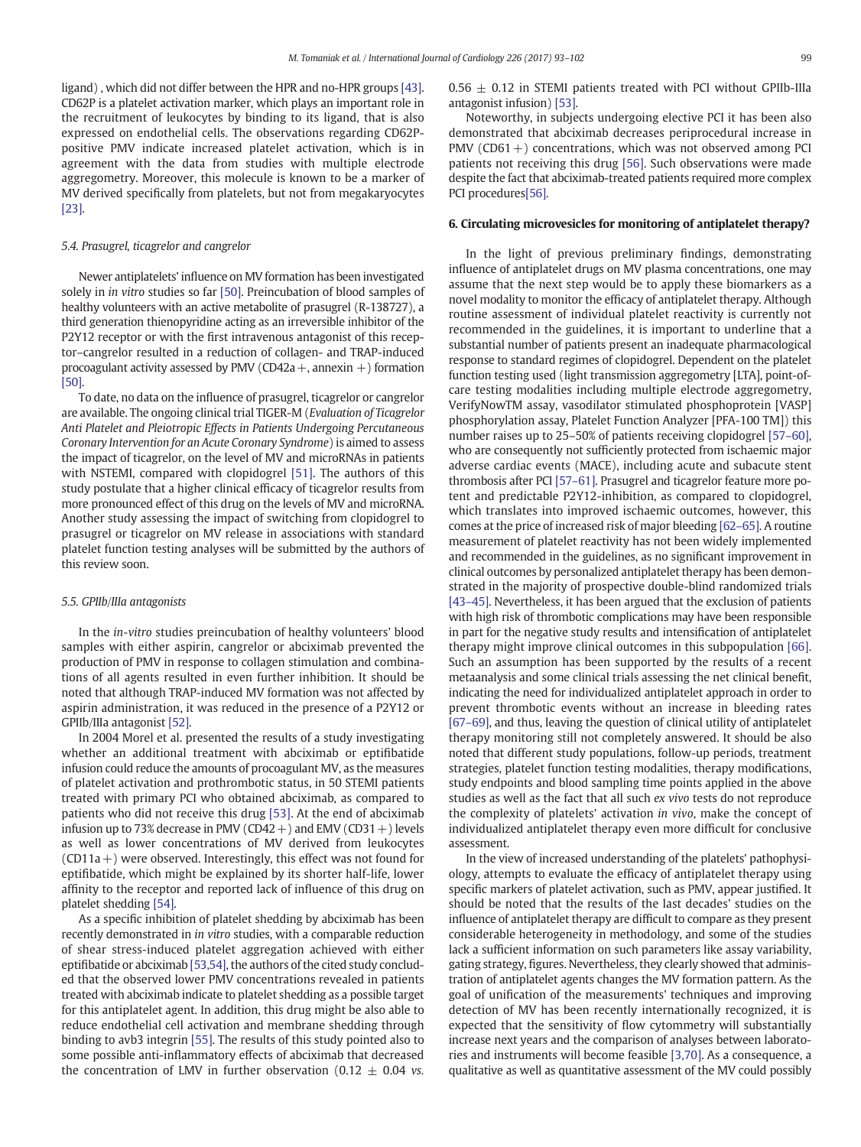ligand) , which did not differ between the HPR and no-HPR groups [\[43\].](#page-9-0) CD62P is a platelet activation marker, which plays an important role in the recruitment of leukocytes by binding to its ligand, that is also expressed on endothelial cells. The observations regarding CD62Ppositive PMV indicate increased platelet activation, which is in agreement with the data from studies with multiple electrode aggregometry. Moreover, this molecule is known to be a marker of MV derived specifically from platelets, but not from megakaryocytes [\[23\].](#page-8-0)

#### 5.4. Prasugrel, ticagrelor and cangrelor

Newer antiplatelets' influence on MV formation has been investigated solely in *in vitro* studies so far [\[50\].](#page-9-0) Preincubation of blood samples of healthy volunteers with an active metabolite of prasugrel (R-138727), a third generation thienopyridine acting as an irreversible inhibitor of the P2Y12 receptor or with the first intravenous antagonist of this receptor–cangrelor resulted in a reduction of collagen- and TRAP-induced procoagulant activity assessed by PMV (CD42a +, annexin +) formation [\[50\].](#page-9-0)

To date, no data on the influence of prasugrel, ticagrelor or cangrelor are available. The ongoing clinical trial TIGER-M (Evaluation of Ticagrelor Anti Platelet and Pleiotropic Effects in Patients Undergoing Percutaneous Coronary Intervention for an Acute Coronary Syndrome) is aimed to assess the impact of ticagrelor, on the level of MV and microRNAs in patients with NSTEMI, compared with clopidogrel [\[51\].](#page-9-0) The authors of this study postulate that a higher clinical efficacy of ticagrelor results from more pronounced effect of this drug on the levels of MV and microRNA. Another study assessing the impact of switching from clopidogrel to prasugrel or ticagrelor on MV release in associations with standard platelet function testing analyses will be submitted by the authors of this review soon.

#### 5.5. GPIIb/IIIa antagonists

In the in-vitro studies preincubation of healthy volunteers' blood samples with either aspirin, cangrelor or abciximab prevented the production of PMV in response to collagen stimulation and combinations of all agents resulted in even further inhibition. It should be noted that although TRAP-induced MV formation was not affected by aspirin administration, it was reduced in the presence of a P2Y12 or GPIIb/IIIa antagonist [\[52\].](#page-9-0)

In 2004 Morel et al. presented the results of a study investigating whether an additional treatment with abciximab or eptifibatide infusion could reduce the amounts of procoagulant MV, as the measures of platelet activation and prothrombotic status, in 50 STEMI patients treated with primary PCI who obtained abciximab, as compared to patients who did not receive this drug [\[53\]](#page-9-0). At the end of abciximab infusion up to 73% decrease in PMV (CD42 +) and EMV (CD31 +) levels as well as lower concentrations of MV derived from leukocytes  $(CD11a+)$  were observed. Interestingly, this effect was not found for eptifibatide, which might be explained by its shorter half-life, lower affinity to the receptor and reported lack of influence of this drug on platelet shedding [\[54\]](#page-9-0).

As a specific inhibition of platelet shedding by abciximab has been recently demonstrated in in vitro studies, with a comparable reduction of shear stress-induced platelet aggregation achieved with either eptifibatide or abciximab [\[53,54\]](#page-9-0), the authors of the cited study concluded that the observed lower PMV concentrations revealed in patients treated with abciximab indicate to platelet shedding as a possible target for this antiplatelet agent. In addition, this drug might be also able to reduce endothelial cell activation and membrane shedding through binding to avb3 integrin [\[55\].](#page-9-0) The results of this study pointed also to some possible anti-inflammatory effects of abciximab that decreased the concentration of LMV in further observation (0.12  $\pm$  0.04 vs.  $0.56 \pm 0.12$  in STEMI patients treated with PCI without GPIIb-IIIa antagonist infusion) [\[53\]](#page-9-0).

Noteworthy, in subjects undergoing elective PCI it has been also demonstrated that abciximab decreases periprocedural increase in PMV ( $CD61 +$ ) concentrations, which was not observed among PCI patients not receiving this drug [\[56\].](#page-9-0) Such observations were made despite the fact that abciximab-treated patients required more complex PCI procedures[\[56\].](#page-9-0)

## 6. Circulating microvesicles for monitoring of antiplatelet therapy?

In the light of previous preliminary findings, demonstrating influence of antiplatelet drugs on MV plasma concentrations, one may assume that the next step would be to apply these biomarkers as a novel modality to monitor the efficacy of antiplatelet therapy. Although routine assessment of individual platelet reactivity is currently not recommended in the guidelines, it is important to underline that a substantial number of patients present an inadequate pharmacological response to standard regimes of clopidogrel. Dependent on the platelet function testing used (light transmission aggregometry [LTA], point-ofcare testing modalities including multiple electrode aggregometry, VerifyNowTM assay, vasodilator stimulated phosphoprotein [VASP] phosphorylation assay, Platelet Function Analyzer [PFA-100 TM]) this number raises up to 25–50% of patients receiving clopidogrel [57–[60\],](#page-9-0) who are consequently not sufficiently protected from ischaemic major adverse cardiac events (MACE), including acute and subacute stent thrombosis after PCI [57–[61\].](#page-9-0) Prasugrel and ticagrelor feature more potent and predictable P2Y12-inhibition, as compared to clopidogrel, which translates into improved ischaemic outcomes, however, this comes at the price of increased risk of major bleeding [\[62](#page-9-0)–65]. A routine measurement of platelet reactivity has not been widely implemented and recommended in the guidelines, as no significant improvement in clinical outcomes by personalized antiplatelet therapy has been demonstrated in the majority of prospective double-blind randomized trials [43–[45\]](#page-9-0). Nevertheless, it has been argued that the exclusion of patients with high risk of thrombotic complications may have been responsible in part for the negative study results and intensification of antiplatelet therapy might improve clinical outcomes in this subpopulation [\[66\].](#page-9-0) Such an assumption has been supported by the results of a recent metaanalysis and some clinical trials assessing the net clinical benefit, indicating the need for individualized antiplatelet approach in order to prevent thrombotic events without an increase in bleeding rates [67–[69\]](#page-9-0), and thus, leaving the question of clinical utility of antiplatelet therapy monitoring still not completely answered. It should be also noted that different study populations, follow-up periods, treatment strategies, platelet function testing modalities, therapy modifications, study endpoints and blood sampling time points applied in the above studies as well as the fact that all such ex vivo tests do not reproduce the complexity of platelets' activation in vivo, make the concept of individualized antiplatelet therapy even more difficult for conclusive assessment.

In the view of increased understanding of the platelets' pathophysiology, attempts to evaluate the efficacy of antiplatelet therapy using specific markers of platelet activation, such as PMV, appear justified. It should be noted that the results of the last decades' studies on the influence of antiplatelet therapy are difficult to compare as they present considerable heterogeneity in methodology, and some of the studies lack a sufficient information on such parameters like assay variability, gating strategy, figures. Nevertheless, they clearly showed that administration of antiplatelet agents changes the MV formation pattern. As the goal of unification of the measurements' techniques and improving detection of MV has been recently internationally recognized, it is expected that the sensitivity of flow cytommetry will substantially increase next years and the comparison of analyses between laboratories and instruments will become feasible [\[3,70\]](#page-8-0). As a consequence, a qualitative as well as quantitative assessment of the MV could possibly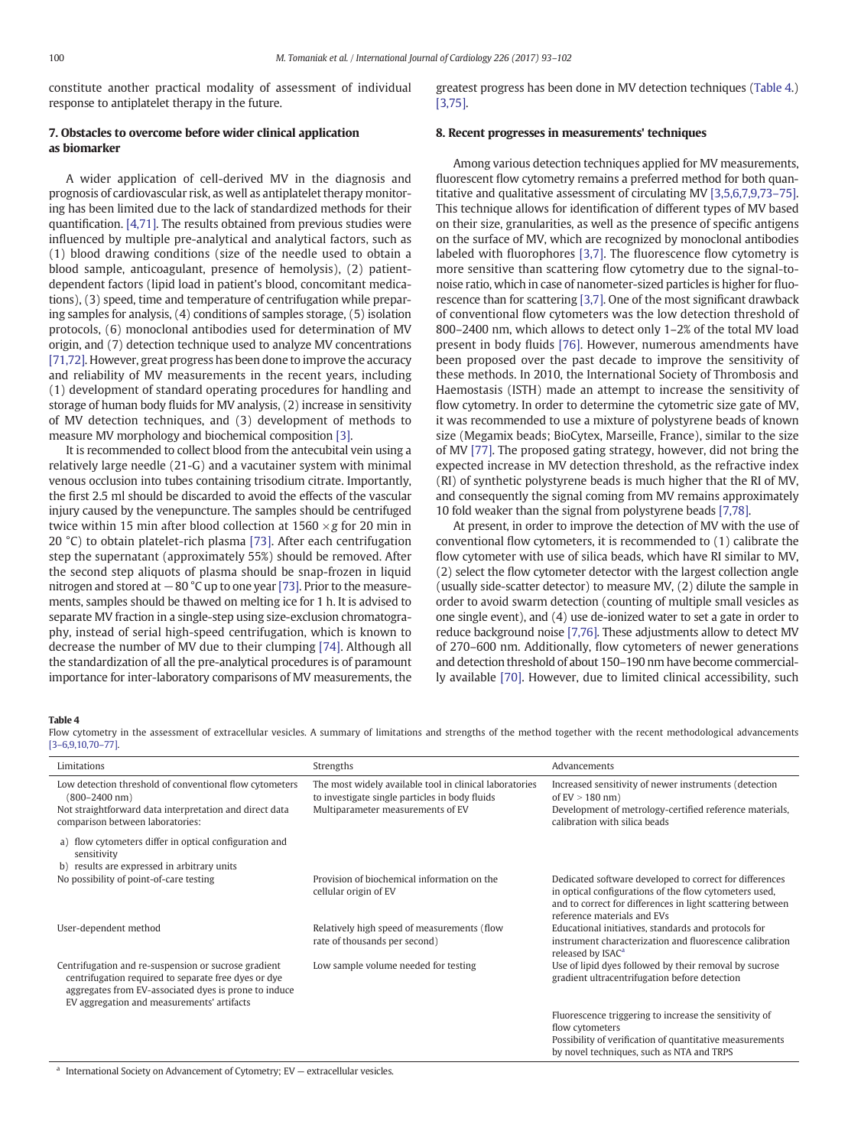constitute another practical modality of assessment of individual response to antiplatelet therapy in the future.

# 7. Obstacles to overcome before wider clinical application as biomarker

A wider application of cell-derived MV in the diagnosis and prognosis of cardiovascular risk, as well as antiplatelet therapy monitoring has been limited due to the lack of standardized methods for their quantification. [\[4,71\]](#page-8-0). The results obtained from previous studies were influenced by multiple pre-analytical and analytical factors, such as (1) blood drawing conditions (size of the needle used to obtain a blood sample, anticoagulant, presence of hemolysis), (2) patientdependent factors (lipid load in patient's blood, concomitant medications), (3) speed, time and temperature of centrifugation while preparing samples for analysis, (4) conditions of samples storage, (5) isolation protocols, (6) monoclonal antibodies used for determination of MV origin, and (7) detection technique used to analyze MV concentrations [\[71,72\].](#page-9-0) However, great progress has been done to improve the accuracy and reliability of MV measurements in the recent years, including (1) development of standard operating procedures for handling and storage of human body fluids for MV analysis, (2) increase in sensitivity of MV detection techniques, and (3) development of methods to measure MV morphology and biochemical composition [\[3\]](#page-8-0).

It is recommended to collect blood from the antecubital vein using a relatively large needle (21-G) and a vacutainer system with minimal venous occlusion into tubes containing trisodium citrate. Importantly, the first 2.5 ml should be discarded to avoid the effects of the vascular injury caused by the venepuncture. The samples should be centrifuged twice within 15 min after blood collection at 1560  $\times$  g for 20 min in 20 °C) to obtain platelet-rich plasma [\[73\].](#page-9-0) After each centrifugation step the supernatant (approximately 55%) should be removed. After the second step aliquots of plasma should be snap-frozen in liquid nitrogen and stored at −80 °C up to one year [\[73\].](#page-9-0) Prior to the measurements, samples should be thawed on melting ice for 1 h. It is advised to separate MV fraction in a single-step using size-exclusion chromatography, instead of serial high-speed centrifugation, which is known to decrease the number of MV due to their clumping [\[74\].](#page-9-0) Although all the standardization of all the pre-analytical procedures is of paramount importance for inter-laboratory comparisons of MV measurements, the greatest progress has been done in MV detection techniques (Table 4.) [\[3,75\]](#page-8-0).

# 8. Recent progresses in measurements' techniques

Among various detection techniques applied for MV measurements, fluorescent flow cytometry remains a preferred method for both quantitative and qualitative assessment of circulating MV [\[3,5,6,7,9,73](#page-8-0)–75]. This technique allows for identification of different types of MV based on their size, granularities, as well as the presence of specific antigens on the surface of MV, which are recognized by monoclonal antibodies labeled with fluorophores [\[3,7\].](#page-8-0) The fluorescence flow cytometry is more sensitive than scattering flow cytometry due to the signal-tonoise ratio, which in case of nanometer-sized particles is higher for fluorescence than for scattering [\[3,7\]](#page-8-0). One of the most significant drawback of conventional flow cytometers was the low detection threshold of 800–2400 nm, which allows to detect only 1–2% of the total MV load present in body fluids [\[76\].](#page-9-0) However, numerous amendments have been proposed over the past decade to improve the sensitivity of these methods. In 2010, the International Society of Thrombosis and Haemostasis (ISTH) made an attempt to increase the sensitivity of flow cytometry. In order to determine the cytometric size gate of MV, it was recommended to use a mixture of polystyrene beads of known size (Megamix beads; BioCytex, Marseille, France), similar to the size of MV [\[77\].](#page-9-0) The proposed gating strategy, however, did not bring the expected increase in MV detection threshold, as the refractive index (RI) of synthetic polystyrene beads is much higher that the RI of MV, and consequently the signal coming from MV remains approximately 10 fold weaker than the signal from polystyrene beads [\[7,78\].](#page-8-0)

At present, in order to improve the detection of MV with the use of conventional flow cytometers, it is recommended to (1) calibrate the flow cytometer with use of silica beads, which have RI similar to MV, (2) select the flow cytometer detector with the largest collection angle (usually side-scatter detector) to measure MV, (2) dilute the sample in order to avoid swarm detection (counting of multiple small vesicles as one single event), and (4) use de-ionized water to set a gate in order to reduce background noise [\[7,76\]](#page-8-0). These adjustments allow to detect MV of 270–600 nm. Additionally, flow cytometers of newer generations and detection threshold of about 150–190 nm have become commercially available [\[70\]](#page-9-0). However, due to limited clinical accessibility, such

#### Table 4

Flow cytometry in the assessment of extracellular vesicles. A summary of limitations and strengths of the method together with the recent methodological advancements [3–[6,9,10,70](#page-8-0)–77].

| Limitations                                                                                                                                                                                                         | Strengths                                                                                                                                      | Advancements                                                                                                                                                                                                   |  |  |
|---------------------------------------------------------------------------------------------------------------------------------------------------------------------------------------------------------------------|------------------------------------------------------------------------------------------------------------------------------------------------|----------------------------------------------------------------------------------------------------------------------------------------------------------------------------------------------------------------|--|--|
| Low detection threshold of conventional flow cytometers<br>$(800 - 2400$ nm)<br>Not straightforward data interpretation and direct data<br>comparison between laboratories:                                         | The most widely available tool in clinical laboratories<br>to investigate single particles in body fluids<br>Multiparameter measurements of EV | Increased sensitivity of newer instruments (detection<br>of $EV > 180$ nm)<br>Development of metrology-certified reference materials,<br>calibration with silica beads                                         |  |  |
| a) flow cytometers differ in optical configuration and<br>sensitivity<br>b) results are expressed in arbitrary units                                                                                                |                                                                                                                                                |                                                                                                                                                                                                                |  |  |
| No possibility of point-of-care testing                                                                                                                                                                             | Provision of biochemical information on the<br>cellular origin of EV                                                                           | Dedicated software developed to correct for differences<br>in optical configurations of the flow cytometers used,<br>and to correct for differences in light scattering between<br>reference materials and EVs |  |  |
| User-dependent method                                                                                                                                                                                               | Relatively high speed of measurements (flow<br>rate of thousands per second)                                                                   | Educational initiatives, standards and protocols for<br>instrument characterization and fluorescence calibration<br>released by ISAC <sup>a</sup>                                                              |  |  |
| Centrifugation and re-suspension or sucrose gradient<br>centrifugation required to separate free dyes or dye<br>aggregates from EV-associated dyes is prone to induce<br>EV aggregation and measurements' artifacts | Low sample volume needed for testing                                                                                                           | Use of lipid dyes followed by their removal by sucrose<br>gradient ultracentrifugation before detection                                                                                                        |  |  |
|                                                                                                                                                                                                                     |                                                                                                                                                | Fluorescence triggering to increase the sensitivity of<br>flow cytometers<br>Possibility of verification of quantitative measurements<br>by novel techniques, such as NTA and TRPS                             |  |  |

 $a$  International Society on Advancement of Cytometry; EV  $-$  extracellular vesicles.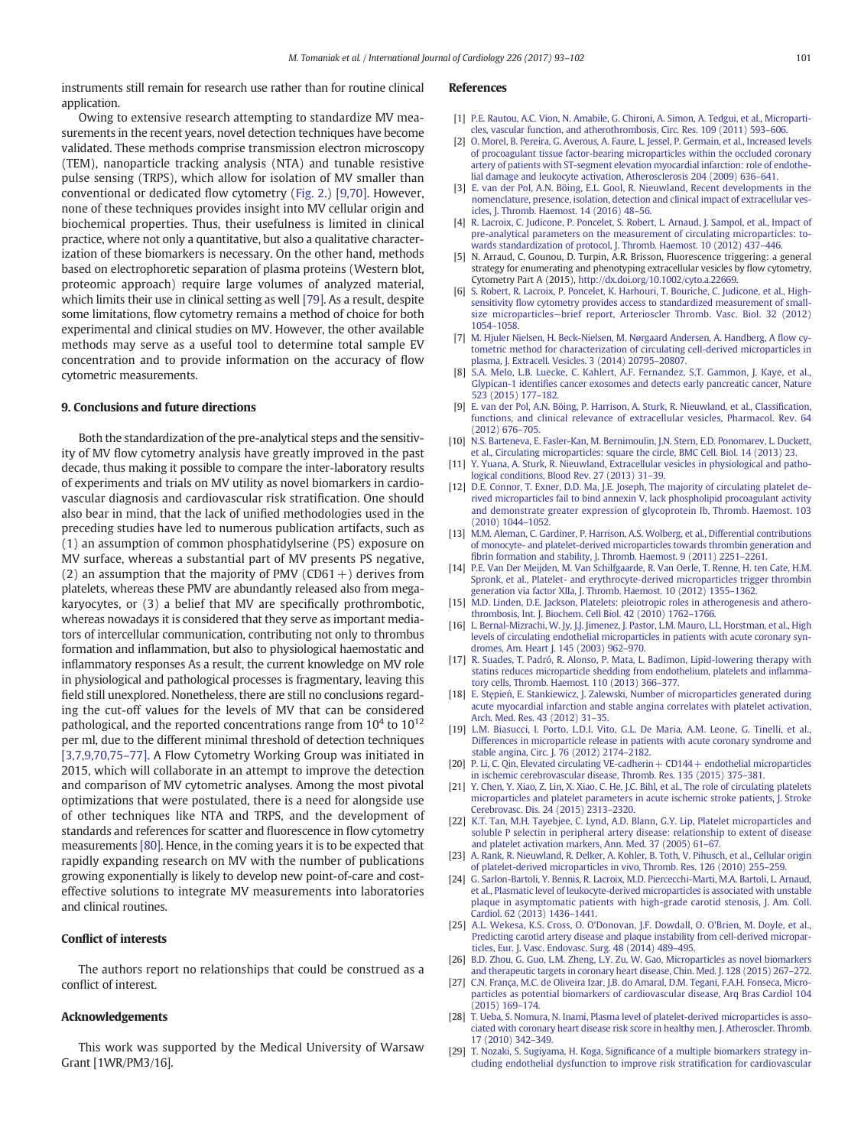<span id="page-8-0"></span>instruments still remain for research use rather than for routine clinical application.

# Owing to extensive research attempting to standardize MV measurements in the recent years, novel detection techniques have become validated. These methods comprise transmission electron microscopy (TEM), nanoparticle tracking analysis (NTA) and tunable resistive pulse sensing (TRPS), which allow for isolation of MV smaller than conventional or dedicated flow cytometry ([Fig. 2.](#page-2-0)) [9,70]. However, none of these techniques provides insight into MV cellular origin and biochemical properties. Thus, their usefulness is limited in clinical practice, where not only a quantitative, but also a qualitative characterization of these biomarkers is necessary. On the other hand, methods based on electrophoretic separation of plasma proteins (Western blot, proteomic approach) require large volumes of analyzed material, which limits their use in clinical setting as well [\[79\].](#page-9-0) As a result, despite some limitations, flow cytometry remains a method of choice for both experimental and clinical studies on MV. However, the other available methods may serve as a useful tool to determine total sample EV concentration and to provide information on the accuracy of flow cytometric measurements.

#### 9. Conclusions and future directions

Both the standardization of the pre-analytical steps and the sensitivity of MV flow cytometry analysis have greatly improved in the past decade, thus making it possible to compare the inter-laboratory results of experiments and trials on MV utility as novel biomarkers in cardiovascular diagnosis and cardiovascular risk stratification. One should also bear in mind, that the lack of unified methodologies used in the preceding studies have led to numerous publication artifacts, such as (1) an assumption of common phosphatidylserine (PS) exposure on MV surface, whereas a substantial part of MV presents PS negative, (2) an assumption that the majority of PMV (CD61+) derives from platelets, whereas these PMV are abundantly released also from megakaryocytes, or (3) a belief that MV are specifically prothrombotic, whereas nowadays it is considered that they serve as important mediators of intercellular communication, contributing not only to thrombus formation and inflammation, but also to physiological haemostatic and inflammatory responses As a result, the current knowledge on MV role in physiological and pathological processes is fragmentary, leaving this field still unexplored. Nonetheless, there are still no conclusions regarding the cut-off values for the levels of MV that can be considered pathological, and the reported concentrations range from  $10^4$  to  $10^{12}$ per ml, due to the different minimal threshold of detection techniques [3,7,9,70,75–77]. A Flow Cytometry Working Group was initiated in 2015, which will collaborate in an attempt to improve the detection and comparison of MV cytometric analyses. Among the most pivotal optimizations that were postulated, there is a need for alongside use of other techniques like NTA and TRPS, and the development of standards and references for scatter and fluorescence in flow cytometry measurements [\[80\]](#page-9-0). Hence, in the coming years it is to be expected that rapidly expanding research on MV with the number of publications growing exponentially is likely to develop new point-of-care and costeffective solutions to integrate MV measurements into laboratories and clinical routines.

#### Conflict of interests

The authors report no relationships that could be construed as a conflict of interest.

### Acknowledgements

This work was supported by the Medical University of Warsaw Grant [1WR/PM3/16].

#### References

- [1] [P.E. Rautou, A.C. Vion, N. Amabile, G. Chironi, A. Simon, A. Tedgui, et al., Microparti](http://refhub.elsevier.com/S0167-5273(16)32765-6/rf0005)[cles, vascular function, and atherothrombosis, Circ. Res. 109 \(2011\) 593](http://refhub.elsevier.com/S0167-5273(16)32765-6/rf0005)–606.
- [2] [O. Morel, B. Pereira, G. Averous, A. Faure, L. Jessel, P. Germain, et al., Increased levels](http://refhub.elsevier.com/S0167-5273(16)32765-6/rf0010) [of procoagulant tissue factor-bearing microparticles within the occluded coronary](http://refhub.elsevier.com/S0167-5273(16)32765-6/rf0010) [artery of patients with ST-segment elevation myocardial infarction: role of endothe](http://refhub.elsevier.com/S0167-5273(16)32765-6/rf0010)[lial damage and leukocyte activation, Atherosclerosis 204 \(2009\) 636](http://refhub.elsevier.com/S0167-5273(16)32765-6/rf0010)–641.
- [3] [E. van der Pol, A.N. Böing, E.L. Gool, R. Nieuwland, Recent developments in the](http://refhub.elsevier.com/S0167-5273(16)32765-6/rf0015) [nomenclature, presence, isolation, detection and clinical impact of extracellular ves](http://refhub.elsevier.com/S0167-5273(16)32765-6/rf0015)[icles, J. Thromb. Haemost. 14 \(2016\) 48](http://refhub.elsevier.com/S0167-5273(16)32765-6/rf0015)–56.
- [4] [R. Lacroix, C. Judicone, P. Poncelet, S. Robert, L. Arnaud, J. Sampol, et al., Impact of](http://refhub.elsevier.com/S0167-5273(16)32765-6/rf0020) [pre-analytical parameters on the measurement of circulating microparticles: to](http://refhub.elsevier.com/S0167-5273(16)32765-6/rf0020)[wards standardization of protocol, J. Thromb. Haemost. 10 \(2012\) 437](http://refhub.elsevier.com/S0167-5273(16)32765-6/rf0020)–446.
- [5] N. Arraud, C. Gounou, D. Turpin, A.R. Brisson, Fluorescence triggering: a general strategy for enumerating and phenotyping extracellular vesicles by flow cytometry, Cytometry Part A (2015), http://dx.doi.org[/10.1002/cyto.a.22669.](http://dx.doi.org/10.1002/cyto.a.22669)
- [6] [S. Robert, R. Lacroix, P. Poncelet, K. Harhouri, T. Bouriche, C. Judicone, et al., High](http://refhub.elsevier.com/S0167-5273(16)32765-6/rf0030)sensitivity fl[ow cytometry provides access to standardized measurement of small](http://refhub.elsevier.com/S0167-5273(16)32765-6/rf0030)size microparticles—[brief report, Arterioscler Thromb. Vasc. Biol. 32 \(2012\)](http://refhub.elsevier.com/S0167-5273(16)32765-6/rf0030) [1054](http://refhub.elsevier.com/S0167-5273(16)32765-6/rf0030)–1058.
- [7] [M. Hjuler Nielsen, H. Beck-Nielsen, M. Nørgaard Andersen, A. Handberg, A](http://refhub.elsevier.com/S0167-5273(16)32765-6/rf0035) flow cy[tometric method for characterization of circulating cell-derived microparticles in](http://refhub.elsevier.com/S0167-5273(16)32765-6/rf0035) [plasma, J. Extracell. Vesicles. 3 \(2014\) 20795](http://refhub.elsevier.com/S0167-5273(16)32765-6/rf0035)–20807.
- [8] [S.A. Melo, L.B. Luecke, C. Kahlert, A.F. Fernandez, S.T. Gammon, J. Kaye, et al.,](http://refhub.elsevier.com/S0167-5273(16)32765-6/rf0040) Glypican-1 identifi[es cancer exosomes and detects early pancreatic cancer, Nature](http://refhub.elsevier.com/S0167-5273(16)32765-6/rf0040) [523 \(2015\) 177](http://refhub.elsevier.com/S0167-5273(16)32765-6/rf0040)–182.
- [9] [E. van der Pol, A.N. Böing, P. Harrison, A. Sturk, R. Nieuwland, et al., Classi](http://refhub.elsevier.com/S0167-5273(16)32765-6/rf0045)fication, [functions, and clinical relevance of extracellular vesicles, Pharmacol. Rev. 64](http://refhub.elsevier.com/S0167-5273(16)32765-6/rf0045) [\(2012\) 676](http://refhub.elsevier.com/S0167-5273(16)32765-6/rf0045)–705.
- [10] [N.S. Barteneva, E. Fasler-Kan, M. Bernimoulin, J.N. Stern, E.D. Ponomarev, L. Duckett,](http://refhub.elsevier.com/S0167-5273(16)32765-6/rf0050) [et al., Circulating microparticles: square the circle, BMC Cell. Biol. 14 \(2013\) 23](http://refhub.elsevier.com/S0167-5273(16)32765-6/rf0050).
- [11] [Y. Yuana, A. Sturk, R. Nieuwland, Extracellular vesicles in physiological and patho](http://refhub.elsevier.com/S0167-5273(16)32765-6/rf0055)[logical conditions, Blood Rev. 27 \(2013\) 31](http://refhub.elsevier.com/S0167-5273(16)32765-6/rf0055)–39.
- [12] [D.E. Connor, T. Exner, D.D. Ma, J.E. Joseph, The majority of circulating platelet de](http://refhub.elsevier.com/S0167-5273(16)32765-6/rf0060)[rived microparticles fail to bind annexin V, lack phospholipid procoagulant activity](http://refhub.elsevier.com/S0167-5273(16)32765-6/rf0060) [and demonstrate greater expression of glycoprotein Ib, Thromb. Haemost. 103](http://refhub.elsevier.com/S0167-5273(16)32765-6/rf0060) [\(2010\) 1044](http://refhub.elsevier.com/S0167-5273(16)32765-6/rf0060)–1052.
- [13] [M.M. Aleman, C. Gardiner, P. Harrison, A.S. Wolberg, et al., Differential contributions](http://refhub.elsevier.com/S0167-5273(16)32765-6/rf0065) [of monocyte- and platelet-derived microparticles towards thrombin generation and](http://refhub.elsevier.com/S0167-5273(16)32765-6/rf0065) fi[brin formation and stability, J. Thromb. Haemost. 9 \(2011\) 2251](http://refhub.elsevier.com/S0167-5273(16)32765-6/rf0065)–2261.
- [14] [P.E. Van Der Meijden, M. Van Schilfgaarde, R. Van Oerle, T. Renne, H. ten Cate, H.M.](http://refhub.elsevier.com/S0167-5273(16)32765-6/rf0070) [Spronk, et al., Platelet- and erythrocyte-derived microparticles trigger thrombin](http://refhub.elsevier.com/S0167-5273(16)32765-6/rf0070) [generation via factor XIIa, J. Thromb. Haemost. 10 \(2012\) 1355](http://refhub.elsevier.com/S0167-5273(16)32765-6/rf0070)–1362.
- [15] [M.D. Linden, D.E. Jackson, Platelets: pleiotropic roles in atherogenesis and athero](http://refhub.elsevier.com/S0167-5273(16)32765-6/rf0075)[thrombosis, Int. J. Biochem. Cell Biol. 42 \(2010\) 1762](http://refhub.elsevier.com/S0167-5273(16)32765-6/rf0075)–1766.
- [L. Bernal-Mizrachi, W. Jy, J.J. Jimenez, J. Pastor, L.M. Mauro, L.L. Horstman, et al., High](http://refhub.elsevier.com/S0167-5273(16)32765-6/rf0080) [levels of circulating endothelial microparticles in patients with acute coronary syn](http://refhub.elsevier.com/S0167-5273(16)32765-6/rf0080)[dromes, Am. Heart J. 145 \(2003\) 962](http://refhub.elsevier.com/S0167-5273(16)32765-6/rf0080)–970.
- [17] [R. Suades, T. Padró, R. Alonso, P. Mata, L. Badimon, Lipid-lowering therapy with](http://refhub.elsevier.com/S0167-5273(16)32765-6/rf0085) [statins reduces microparticle shedding from endothelium, platelets and in](http://refhub.elsevier.com/S0167-5273(16)32765-6/rf0085)flamma[tory cells, Thromb. Haemost. 110 \(2013\) 366](http://refhub.elsevier.com/S0167-5273(16)32765-6/rf0085)–377.
- [18] E. Stępień[, E. Stankiewicz, J. Zalewski, Number of microparticles generated during](http://refhub.elsevier.com/S0167-5273(16)32765-6/rf0090) [acute myocardial infarction and stable angina correlates with platelet activation,](http://refhub.elsevier.com/S0167-5273(16)32765-6/rf0090) [Arch. Med. Res. 43 \(2012\) 31](http://refhub.elsevier.com/S0167-5273(16)32765-6/rf0090)–35.
- [19] [L.M. Biasucci, I. Porto, L.D.I. Vito, G.L. De Maria, A.M. Leone, G. Tinelli, et al.,](http://refhub.elsevier.com/S0167-5273(16)32765-6/rf0095) [Differences in microparticle release in patients with acute coronary syndrome and](http://refhub.elsevier.com/S0167-5273(16)32765-6/rf0095) [stable angina, Circ. J. 76 \(2012\) 2174](http://refhub.elsevier.com/S0167-5273(16)32765-6/rf0095)–2182.
- [20] P. Li, C. Qin, Elevated circulating VE-cadherin + CD144 + endothelial microparticles [in ischemic cerebrovascular disease, Thromb. Res. 135 \(2015\) 375](http://refhub.elsevier.com/S0167-5273(16)32765-6/rf0100)–381.
- [21] [Y. Chen, Y. Xiao, Z. Lin, X. Xiao, C. He, J.C. Bihl, et al., The role of circulating platelets](http://refhub.elsevier.com/S0167-5273(16)32765-6/rf0105) [microparticles and platelet parameters in acute ischemic stroke patients, J. Stroke](http://refhub.elsevier.com/S0167-5273(16)32765-6/rf0105) [Cerebrovasc. Dis. 24 \(2015\) 2313](http://refhub.elsevier.com/S0167-5273(16)32765-6/rf0105)–2320.
- [K.T. Tan, M.H. Tayebjee, C. Lynd, A.D. Blann, G.Y. Lip, Platelet microparticles and](http://refhub.elsevier.com/S0167-5273(16)32765-6/rf0110) [soluble P selectin in peripheral artery disease: relationship to extent of disease](http://refhub.elsevier.com/S0167-5273(16)32765-6/rf0110) [and platelet activation markers, Ann. Med. 37 \(2005\) 61](http://refhub.elsevier.com/S0167-5273(16)32765-6/rf0110)–67.
- [23] [A. Rank, R. Nieuwland, R. Delker, A. Kohler, B. Toth, V. Pihusch, et al., Cellular origin](http://refhub.elsevier.com/S0167-5273(16)32765-6/rf0115) [of platelet-derived microparticles in vivo, Thromb. Res. 126 \(2010\) 255](http://refhub.elsevier.com/S0167-5273(16)32765-6/rf0115)–259.
- [24] [G. Sarlon-Bartoli, Y. Bennis, R. Lacroix, M.D. Piercecchi-Marti, M.A. Bartoli, L. Arnaud,](http://refhub.elsevier.com/S0167-5273(16)32765-6/rf0120) [et al., Plasmatic level of leukocyte-derived microparticles is associated with unstable](http://refhub.elsevier.com/S0167-5273(16)32765-6/rf0120) [plaque in asymptomatic patients with high-grade carotid stenosis, J. Am. Coll.](http://refhub.elsevier.com/S0167-5273(16)32765-6/rf0120) [Cardiol. 62 \(2013\) 1436](http://refhub.elsevier.com/S0167-5273(16)32765-6/rf0120)–1441.
- [25] [A.L. Wekesa, K.S. Cross, O. O'Donovan, J.F. Dowdall, O. O'Brien, M. Doyle, et al.,](http://refhub.elsevier.com/S0167-5273(16)32765-6/rf0125) [Predicting carotid artery disease and plaque instability from cell-derived micropar](http://refhub.elsevier.com/S0167-5273(16)32765-6/rf0125)[ticles, Eur. J. Vasc. Endovasc. Surg. 48 \(2014\) 489](http://refhub.elsevier.com/S0167-5273(16)32765-6/rf0125)–495.
- [26] [B.D. Zhou, G. Guo, L.M. Zheng, L.Y. Zu, W. Gao, Microparticles as novel biomarkers](http://refhub.elsevier.com/S0167-5273(16)32765-6/rf0130) [and therapeutic targets in coronary heart disease, Chin. Med. J. 128 \(2015\) 267](http://refhub.elsevier.com/S0167-5273(16)32765-6/rf0130)–272.
- [27] [C.N. França, M.C. de Oliveira Izar, J.B. do Amaral, D.M. Tegani, F.A.H. Fonseca, Micro](http://refhub.elsevier.com/S0167-5273(16)32765-6/rf0135)[particles as potential biomarkers of cardiovascular disease, Arq Bras Cardiol 104](http://refhub.elsevier.com/S0167-5273(16)32765-6/rf0135) [\(2015\) 169](http://refhub.elsevier.com/S0167-5273(16)32765-6/rf0135)–174.
- [28] [T. Ueba, S. Nomura, N. Inami, Plasma level of platelet-derived microparticles is asso](http://refhub.elsevier.com/S0167-5273(16)32765-6/rf0140)[ciated with coronary heart disease risk score in healthy men, J. Atheroscler. Thromb.](http://refhub.elsevier.com/S0167-5273(16)32765-6/rf0140) [17 \(2010\) 342](http://refhub.elsevier.com/S0167-5273(16)32765-6/rf0140)–349.
- [29] T. Nozaki, S. Sugiyama, H. Koga, Signifi[cance of a multiple biomarkers strategy in](http://refhub.elsevier.com/S0167-5273(16)32765-6/rf0145)[cluding endothelial dysfunction to improve risk strati](http://refhub.elsevier.com/S0167-5273(16)32765-6/rf0145)fication for cardiovascular